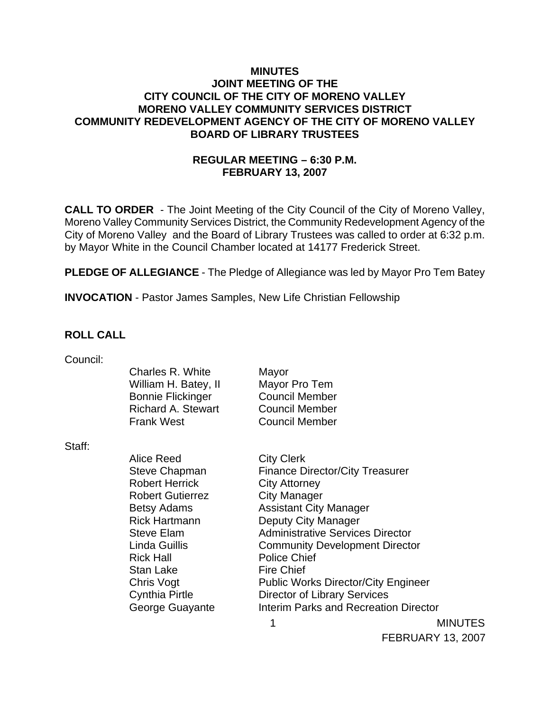### **MINUTES JOINT MEETING OF THE CITY COUNCIL OF THE CITY OF MORENO VALLEY MORENO VALLEY COMMUNITY SERVICES DISTRICT COMMUNITY REDEVELOPMENT AGENCY OF THE CITY OF MORENO VALLEY BOARD OF LIBRARY TRUSTEES**

## **REGULAR MEETING – 6:30 P.M. FEBRUARY 13, 2007**

**CALL TO ORDER** - The Joint Meeting of the City Council of the City of Moreno Valley, Moreno Valley Community Services District, the Community Redevelopment Agency of the City of Moreno Valley and the Board of Library Trustees was called to order at 6:32 p.m. by Mayor White in the Council Chamber located at 14177 Frederick Street.

**PLEDGE OF ALLEGIANCE** - The Pledge of Allegiance was led by Mayor Pro Tem Batey

**INVOCATION** - Pastor James Samples, New Life Christian Fellowship

### **ROLL CALL**

| Council: |                           |                                         |
|----------|---------------------------|-----------------------------------------|
|          | Charles R. White          | Mayor                                   |
|          | William H. Batey, II      | Mayor Pro Tem                           |
|          | <b>Bonnie Flickinger</b>  | <b>Council Member</b>                   |
|          | <b>Richard A. Stewart</b> | <b>Council Member</b>                   |
|          | <b>Frank West</b>         | <b>Council Member</b>                   |
| Staff:   |                           |                                         |
|          | Alice Reed                | <b>City Clerk</b>                       |
|          | <b>Steve Chapman</b>      | <b>Finance Director/City Treasurer</b>  |
|          | <b>Robert Herrick</b>     | <b>City Attorney</b>                    |
|          | <b>Robert Gutierrez</b>   | <b>City Manager</b>                     |
|          | <b>Betsy Adams</b>        | <b>Assistant City Manager</b>           |
|          | <b>Rick Hartmann</b>      | Deputy City Manager                     |
|          | <b>Steve Elam</b>         | <b>Administrative Services Director</b> |
|          | Linda Guillis             | <b>Community Development Director</b>   |
|          | <b>Rick Hall</b>          | <b>Police Chief</b>                     |

Stan Lake Fire Chief Chris Vogt **Public Works Director/City Engineer** Cynthia Pirtle Director of Library Services George Guayante **Interim Parks and Recreation Director** 

> 1 MINUTES FEBRUARY 13, 2007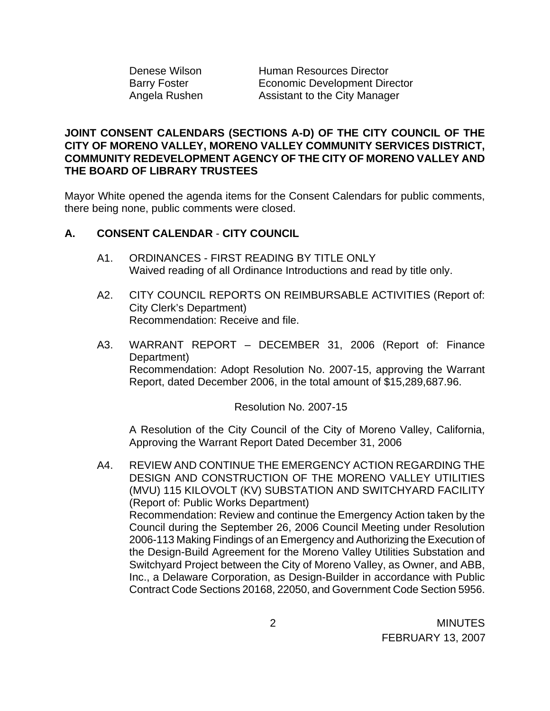Denese Wilson **Human Resources Director** Barry Foster **Economic Development Director** Angela Rushen Assistant to the City Manager

## **JOINT CONSENT CALENDARS (SECTIONS A-D) OF THE CITY COUNCIL OF THE CITY OF MORENO VALLEY, MORENO VALLEY COMMUNITY SERVICES DISTRICT, COMMUNITY REDEVELOPMENT AGENCY OF THE CITY OF MORENO VALLEY AND THE BOARD OF LIBRARY TRUSTEES**

Mayor White opened the agenda items for the Consent Calendars for public comments, there being none, public comments were closed.

## **A. CONSENT CALENDAR** - **CITY COUNCIL**

- A1. ORDINANCES FIRST READING BY TITLE ONLY Waived reading of all Ordinance Introductions and read by title only.
- A2. CITY COUNCIL REPORTS ON REIMBURSABLE ACTIVITIES (Report of: City Clerk's Department) Recommendation: Receive and file.
- A3. WARRANT REPORT DECEMBER 31, 2006 (Report of: Finance Department) Recommendation: Adopt Resolution No. 2007-15, approving the Warrant Report, dated December 2006, in the total amount of \$15,289,687.96.

Resolution No. 2007-15

A Resolution of the City Council of the City of Moreno Valley, California, Approving the Warrant Report Dated December 31, 2006

A4. REVIEW AND CONTINUE THE EMERGENCY ACTION REGARDING THE DESIGN AND CONSTRUCTION OF THE MORENO VALLEY UTILITIES (MVU) 115 KILOVOLT (KV) SUBSTATION AND SWITCHYARD FACILITY (Report of: Public Works Department) Recommendation: Review and continue the Emergency Action taken by the Council during the September 26, 2006 Council Meeting under Resolution 2006-113 Making Findings of an Emergency and Authorizing the Execution of the Design-Build Agreement for the Moreno Valley Utilities Substation and Switchyard Project between the City of Moreno Valley, as Owner, and ABB, Inc., a Delaware Corporation, as Design-Builder in accordance with Public Contract Code Sections 20168, 22050, and Government Code Section 5956.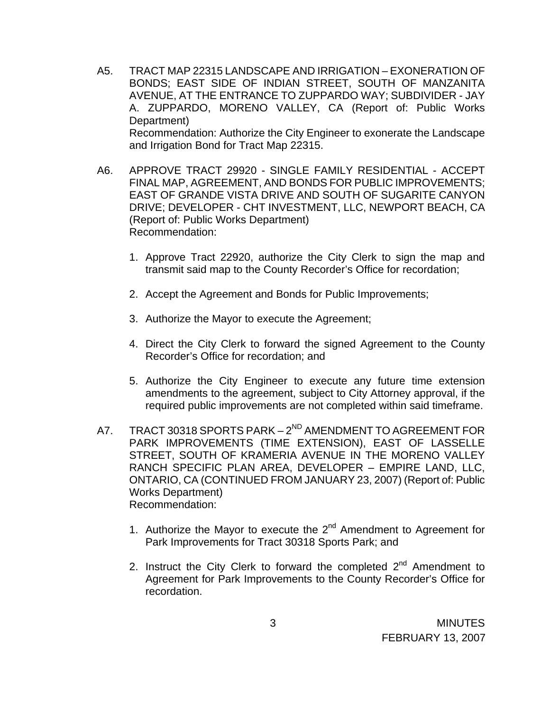- A5. TRACT MAP 22315 LANDSCAPE AND IRRIGATION EXONERATION OF BONDS; EAST SIDE OF INDIAN STREET, SOUTH OF MANZANITA AVENUE, AT THE ENTRANCE TO ZUPPARDO WAY; SUBDIVIDER - JAY A. ZUPPARDO, MORENO VALLEY, CA (Report of: Public Works Department) Recommendation: Authorize the City Engineer to exonerate the Landscape and Irrigation Bond for Tract Map 22315.
- A6. APPROVE TRACT 29920 SINGLE FAMILY RESIDENTIAL ACCEPT FINAL MAP, AGREEMENT, AND BONDS FOR PUBLIC IMPROVEMENTS; EAST OF GRANDE VISTA DRIVE AND SOUTH OF SUGARITE CANYON DRIVE; DEVELOPER - CHT INVESTMENT, LLC, NEWPORT BEACH, CA (Report of: Public Works Department) Recommendation:
	- 1. Approve Tract 22920, authorize the City Clerk to sign the map and transmit said map to the County Recorder's Office for recordation;
	- 2. Accept the Agreement and Bonds for Public Improvements;
	- 3. Authorize the Mayor to execute the Agreement;
	- 4. Direct the City Clerk to forward the signed Agreement to the County Recorder's Office for recordation; and
	- 5. Authorize the City Engineer to execute any future time extension amendments to the agreement, subject to City Attorney approval, if the required public improvements are not completed within said timeframe.
- A7. TRACT 30318 SPORTS PARK 2<sup>ND</sup> AMENDMENT TO AGREEMENT FOR PARK IMPROVEMENTS (TIME EXTENSION), EAST OF LASSELLE STREET, SOUTH OF KRAMERIA AVENUE IN THE MORENO VALLEY RANCH SPECIFIC PLAN AREA, DEVELOPER – EMPIRE LAND, LLC, ONTARIO, CA (CONTINUED FROM JANUARY 23, 2007) (Report of: Public Works Department) Recommendation:
	- 1. Authorize the Mayor to execute the  $2^{nd}$  Amendment to Agreement for Park Improvements for Tract 30318 Sports Park; and
	- 2. Instruct the City Clerk to forward the completed  $2^{nd}$  Amendment to Agreement for Park Improvements to the County Recorder's Office for recordation.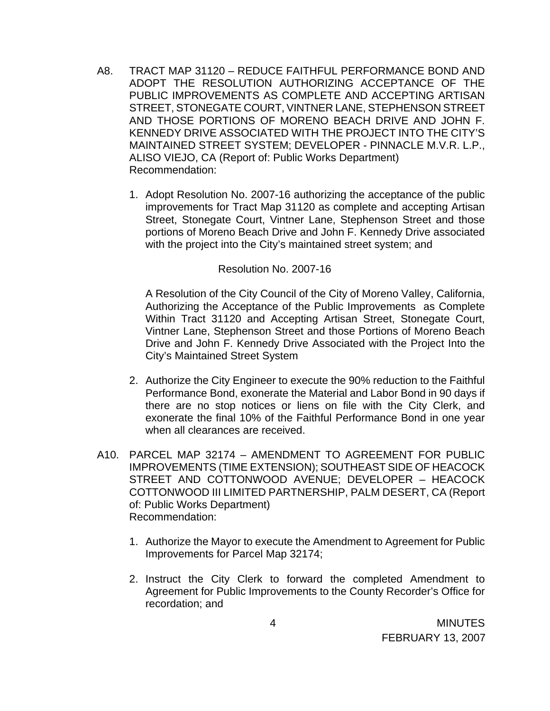- A8. TRACT MAP 31120 REDUCE FAITHFUL PERFORMANCE BOND AND ADOPT THE RESOLUTION AUTHORIZING ACCEPTANCE OF THE PUBLIC IMPROVEMENTS AS COMPLETE AND ACCEPTING ARTISAN STREET, STONEGATE COURT, VINTNER LANE, STEPHENSON STREET AND THOSE PORTIONS OF MORENO BEACH DRIVE AND JOHN F. KENNEDY DRIVE ASSOCIATED WITH THE PROJECT INTO THE CITY'S MAINTAINED STREET SYSTEM; DEVELOPER - PINNACLE M.V.R. L.P., ALISO VIEJO, CA (Report of: Public Works Department) Recommendation:
	- 1. Adopt Resolution No. 2007-16 authorizing the acceptance of the public improvements for Tract Map 31120 as complete and accepting Artisan Street, Stonegate Court, Vintner Lane, Stephenson Street and those portions of Moreno Beach Drive and John F. Kennedy Drive associated with the project into the City's maintained street system; and

#### Resolution No. 2007-16

A Resolution of the City Council of the City of Moreno Valley, California, Authorizing the Acceptance of the Public Improvements as Complete Within Tract 31120 and Accepting Artisan Street, Stonegate Court, Vintner Lane, Stephenson Street and those Portions of Moreno Beach Drive and John F. Kennedy Drive Associated with the Project Into the City's Maintained Street System

- 2. Authorize the City Engineer to execute the 90% reduction to the Faithful Performance Bond, exonerate the Material and Labor Bond in 90 days if there are no stop notices or liens on file with the City Clerk, and exonerate the final 10% of the Faithful Performance Bond in one year when all clearances are received.
- A10. PARCEL MAP 32174 AMENDMENT TO AGREEMENT FOR PUBLIC IMPROVEMENTS (TIME EXTENSION); SOUTHEAST SIDE OF HEACOCK STREET AND COTTONWOOD AVENUE; DEVELOPER – HEACOCK COTTONWOOD III LIMITED PARTNERSHIP, PALM DESERT, CA (Report of: Public Works Department) Recommendation:
	- 1. Authorize the Mayor to execute the Amendment to Agreement for Public Improvements for Parcel Map 32174;
	- 2. Instruct the City Clerk to forward the completed Amendment to Agreement for Public Improvements to the County Recorder's Office for recordation; and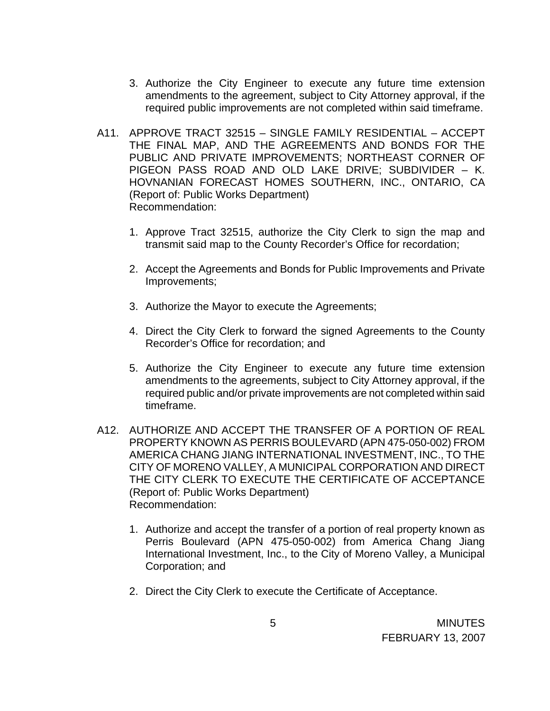- 3. Authorize the City Engineer to execute any future time extension amendments to the agreement, subject to City Attorney approval, if the required public improvements are not completed within said timeframe.
- A11. APPROVE TRACT 32515 SINGLE FAMILY RESIDENTIAL ACCEPT THE FINAL MAP, AND THE AGREEMENTS AND BONDS FOR THE PUBLIC AND PRIVATE IMPROVEMENTS; NORTHEAST CORNER OF PIGEON PASS ROAD AND OLD LAKE DRIVE; SUBDIVIDER – K. HOVNANIAN FORECAST HOMES SOUTHERN, INC., ONTARIO, CA (Report of: Public Works Department) Recommendation:
	- 1. Approve Tract 32515, authorize the City Clerk to sign the map and transmit said map to the County Recorder's Office for recordation;
	- 2. Accept the Agreements and Bonds for Public Improvements and Private Improvements;
	- 3. Authorize the Mayor to execute the Agreements;
	- 4. Direct the City Clerk to forward the signed Agreements to the County Recorder's Office for recordation; and
	- 5. Authorize the City Engineer to execute any future time extension amendments to the agreements, subject to City Attorney approval, if the required public and/or private improvements are not completed within said timeframe.
- A12. AUTHORIZE AND ACCEPT THE TRANSFER OF A PORTION OF REAL PROPERTY KNOWN AS PERRIS BOULEVARD (APN 475-050-002) FROM AMERICA CHANG JIANG INTERNATIONAL INVESTMENT, INC., TO THE CITY OF MORENO VALLEY, A MUNICIPAL CORPORATION AND DIRECT THE CITY CLERK TO EXECUTE THE CERTIFICATE OF ACCEPTANCE (Report of: Public Works Department) Recommendation:
	- 1. Authorize and accept the transfer of a portion of real property known as Perris Boulevard (APN 475-050-002) from America Chang Jiang International Investment, Inc., to the City of Moreno Valley, a Municipal Corporation; and
	- 2. Direct the City Clerk to execute the Certificate of Acceptance.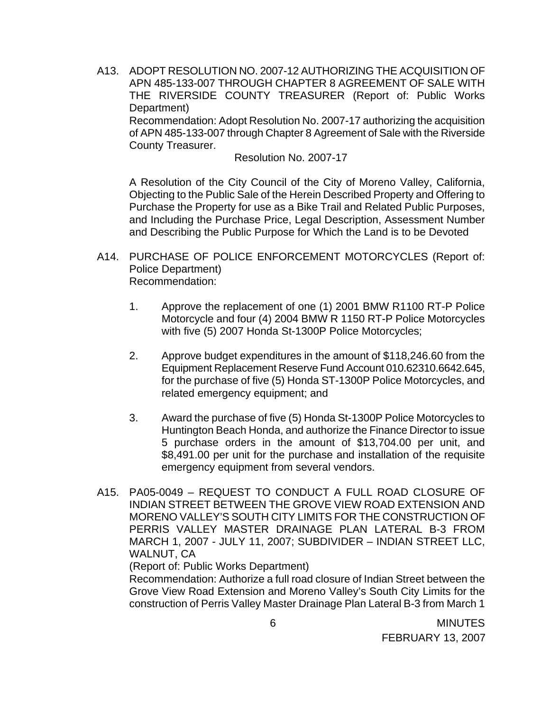A13. ADOPT RESOLUTION NO. 2007-12 AUTHORIZING THE ACQUISITION OF APN 485-133-007 THROUGH CHAPTER 8 AGREEMENT OF SALE WITH THE RIVERSIDE COUNTY TREASURER (Report of: Public Works Department) Recommendation: Adopt Resolution No. 2007-17 authorizing the acquisition of APN 485-133-007 through Chapter 8 Agreement of Sale with the Riverside County Treasurer.

Resolution No. 2007-17

A Resolution of the City Council of the City of Moreno Valley, California, Objecting to the Public Sale of the Herein Described Property and Offering to Purchase the Property for use as a Bike Trail and Related Public Purposes, and Including the Purchase Price, Legal Description, Assessment Number and Describing the Public Purpose for Which the Land is to be Devoted

- A14. PURCHASE OF POLICE ENFORCEMENT MOTORCYCLES (Report of: Police Department) Recommendation:
	- 1. Approve the replacement of one (1) 2001 BMW R1100 RT-P Police Motorcycle and four (4) 2004 BMW R 1150 RT-P Police Motorcycles with five (5) 2007 Honda St-1300P Police Motorcycles;
	- 2. Approve budget expenditures in the amount of \$118,246.60 from the Equipment Replacement Reserve Fund Account 010.62310.6642.645, for the purchase of five (5) Honda ST-1300P Police Motorcycles, and related emergency equipment; and
	- 3. Award the purchase of five (5) Honda St-1300P Police Motorcycles to Huntington Beach Honda, and authorize the Finance Director to issue 5 purchase orders in the amount of \$13,704.00 per unit, and \$8,491.00 per unit for the purchase and installation of the requisite emergency equipment from several vendors.
- A15. PA05-0049 REQUEST TO CONDUCT A FULL ROAD CLOSURE OF INDIAN STREET BETWEEN THE GROVE VIEW ROAD EXTENSION AND MORENO VALLEY'S SOUTH CITY LIMITS FOR THE CONSTRUCTION OF PERRIS VALLEY MASTER DRAINAGE PLAN LATERAL B-3 FROM MARCH 1, 2007 - JULY 11, 2007; SUBDIVIDER – INDIAN STREET LLC, WALNUT, CA

(Report of: Public Works Department)

 Recommendation: Authorize a full road closure of Indian Street between the Grove View Road Extension and Moreno Valley's South City Limits for the construction of Perris Valley Master Drainage Plan Lateral B-3 from March 1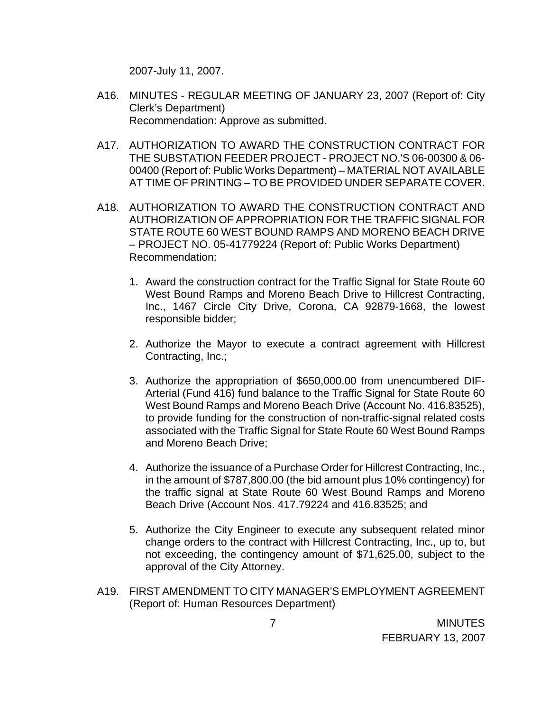2007-July 11, 2007.

- A16. MINUTES REGULAR MEETING OF JANUARY 23, 2007 (Report of: City Clerk's Department) Recommendation: Approve as submitted.
- A17. AUTHORIZATION TO AWARD THE CONSTRUCTION CONTRACT FOR THE SUBSTATION FEEDER PROJECT - PROJECT NO.'S 06-00300 & 06- 00400 (Report of: Public Works Department) – MATERIAL NOT AVAILABLE AT TIME OF PRINTING – TO BE PROVIDED UNDER SEPARATE COVER.
- A18. AUTHORIZATION TO AWARD THE CONSTRUCTION CONTRACT AND AUTHORIZATION OF APPROPRIATION FOR THE TRAFFIC SIGNAL FOR STATE ROUTE 60 WEST BOUND RAMPS AND MORENO BEACH DRIVE – PROJECT NO. 05-41779224 (Report of: Public Works Department) Recommendation:
	- 1. Award the construction contract for the Traffic Signal for State Route 60 West Bound Ramps and Moreno Beach Drive to Hillcrest Contracting, Inc., 1467 Circle City Drive, Corona, CA 92879-1668, the lowest responsible bidder;
	- 2. Authorize the Mayor to execute a contract agreement with Hillcrest Contracting, Inc.;
	- 3. Authorize the appropriation of \$650,000.00 from unencumbered DIF-Arterial (Fund 416) fund balance to the Traffic Signal for State Route 60 West Bound Ramps and Moreno Beach Drive (Account No. 416.83525), to provide funding for the construction of non-traffic-signal related costs associated with the Traffic Signal for State Route 60 West Bound Ramps and Moreno Beach Drive;
	- 4. Authorize the issuance of a Purchase Order for Hillcrest Contracting, Inc., in the amount of \$787,800.00 (the bid amount plus 10% contingency) for the traffic signal at State Route 60 West Bound Ramps and Moreno Beach Drive (Account Nos. 417.79224 and 416.83525; and
	- 5. Authorize the City Engineer to execute any subsequent related minor change orders to the contract with Hillcrest Contracting, Inc., up to, but not exceeding, the contingency amount of \$71,625.00, subject to the approval of the City Attorney.
- A19. FIRST AMENDMENT TO CITY MANAGER'S EMPLOYMENT AGREEMENT (Report of: Human Resources Department)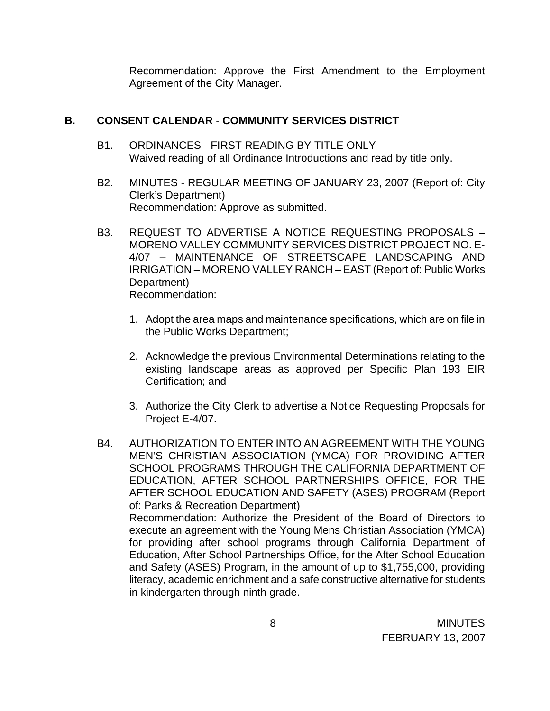Recommendation: Approve the First Amendment to the Employment Agreement of the City Manager.

## **B. CONSENT CALENDAR** - **COMMUNITY SERVICES DISTRICT**

- B1. ORDINANCES FIRST READING BY TITLE ONLY Waived reading of all Ordinance Introductions and read by title only.
- B2. MINUTES REGULAR MEETING OF JANUARY 23, 2007 (Report of: City Clerk's Department) Recommendation: Approve as submitted.
- B3. REQUEST TO ADVERTISE A NOTICE REQUESTING PROPOSALS MORENO VALLEY COMMUNITY SERVICES DISTRICT PROJECT NO. E-4/07 – MAINTENANCE OF STREETSCAPE LANDSCAPING AND IRRIGATION – MORENO VALLEY RANCH – EAST (Report of: Public Works Department) Recommendation:
	- 1. Adopt the area maps and maintenance specifications, which are on file in the Public Works Department;
	- 2. Acknowledge the previous Environmental Determinations relating to the existing landscape areas as approved per Specific Plan 193 EIR Certification; and
	- 3. Authorize the City Clerk to advertise a Notice Requesting Proposals for Project E-4/07.
- B4. AUTHORIZATION TO ENTER INTO AN AGREEMENT WITH THE YOUNG MEN'S CHRISTIAN ASSOCIATION (YMCA) FOR PROVIDING AFTER SCHOOL PROGRAMS THROUGH THE CALIFORNIA DEPARTMENT OF EDUCATION, AFTER SCHOOL PARTNERSHIPS OFFICE, FOR THE AFTER SCHOOL EDUCATION AND SAFETY (ASES) PROGRAM (Report of: Parks & Recreation Department) Recommendation: Authorize the President of the Board of Directors to execute an agreement with the Young Mens Christian Association (YMCA) for providing after school programs through California Department of Education, After School Partnerships Office, for the After School Education and Safety (ASES) Program, in the amount of up to \$1,755,000, providing literacy, academic enrichment and a safe constructive alternative for students in kindergarten through ninth grade.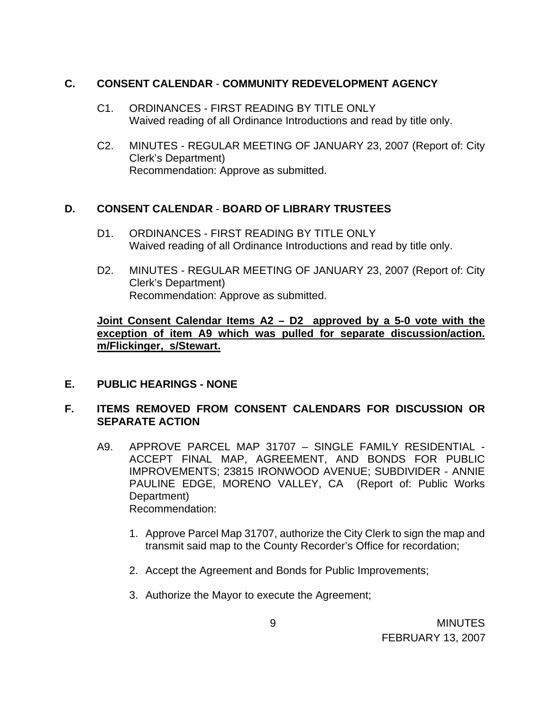### **C. CONSENT CALENDAR** - **COMMUNITY REDEVELOPMENT AGENCY**

- C1. ORDINANCES FIRST READING BY TITLE ONLY Waived reading of all Ordinance Introductions and read by title only.
- C2. MINUTES REGULAR MEETING OF JANUARY 23, 2007 (Report of: City Clerk's Department) Recommendation: Approve as submitted.

## **D. CONSENT CALENDAR** - **BOARD OF LIBRARY TRUSTEES**

- D1. ORDINANCES FIRST READING BY TITLE ONLY Waived reading of all Ordinance Introductions and read by title only.
- D2. MINUTES REGULAR MEETING OF JANUARY 23, 2007 (Report of: City Clerk's Department) Recommendation: Approve as submitted.

## **Joint Consent Calendar Items A2 – D2 approved by a 5-0 vote with the exception of item A9 which was pulled for separate discussion/action. m/Flickinger, s/Stewart.**

## **E. PUBLIC HEARINGS - NONE**

# **F. ITEMS REMOVED FROM CONSENT CALENDARS FOR DISCUSSION OR SEPARATE ACTION**

- A9. APPROVE PARCEL MAP 31707 SINGLE FAMILY RESIDENTIAL ACCEPT FINAL MAP, AGREEMENT, AND BONDS FOR PUBLIC IMPROVEMENTS; 23815 IRONWOOD AVENUE; SUBDIVIDER - ANNIE PAULINE EDGE, MORENO VALLEY, CA (Report of: Public Works Department) Recommendation:
	- 1. Approve Parcel Map 31707, authorize the City Clerk to sign the map and transmit said map to the County Recorder's Office for recordation;
	- 2. Accept the Agreement and Bonds for Public Improvements;
	- 3. Authorize the Mayor to execute the Agreement;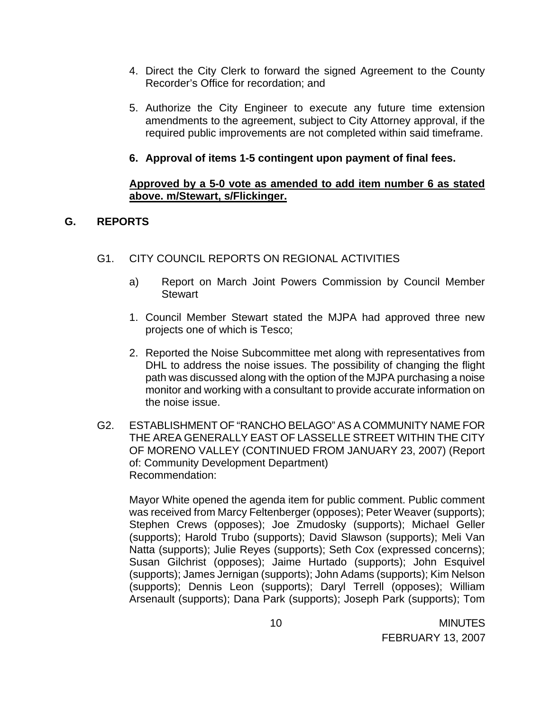- 4. Direct the City Clerk to forward the signed Agreement to the County Recorder's Office for recordation; and
- 5. Authorize the City Engineer to execute any future time extension amendments to the agreement, subject to City Attorney approval, if the required public improvements are not completed within said timeframe.

## **6. Approval of items 1-5 contingent upon payment of final fees.**

### **Approved by a 5-0 vote as amended to add item number 6 as stated above. m/Stewart, s/Flickinger.**

## **G. REPORTS**

- G1. CITY COUNCIL REPORTS ON REGIONAL ACTIVITIES
	- a) Report on March Joint Powers Commission by Council Member **Stewart**
	- 1. Council Member Stewart stated the MJPA had approved three new projects one of which is Tesco;
	- 2. Reported the Noise Subcommittee met along with representatives from DHL to address the noise issues. The possibility of changing the flight path was discussed along with the option of the MJPA purchasing a noise monitor and working with a consultant to provide accurate information on the noise issue.
- G2. ESTABLISHMENT OF "RANCHO BELAGO" AS A COMMUNITY NAME FOR THE AREA GENERALLY EAST OF LASSELLE STREET WITHIN THE CITY OF MORENO VALLEY (CONTINUED FROM JANUARY 23, 2007) (Report of: Community Development Department) Recommendation:

Mayor White opened the agenda item for public comment. Public comment was received from Marcy Feltenberger (opposes); Peter Weaver (supports); Stephen Crews (opposes); Joe Zmudosky (supports); Michael Geller (supports); Harold Trubo (supports); David Slawson (supports); Meli Van Natta (supports); Julie Reyes (supports); Seth Cox (expressed concerns); Susan Gilchrist (opposes); Jaime Hurtado (supports); John Esquivel (supports); James Jernigan (supports); John Adams (supports); Kim Nelson (supports); Dennis Leon (supports); Daryl Terrell (opposes); William Arsenault (supports); Dana Park (supports); Joseph Park (supports); Tom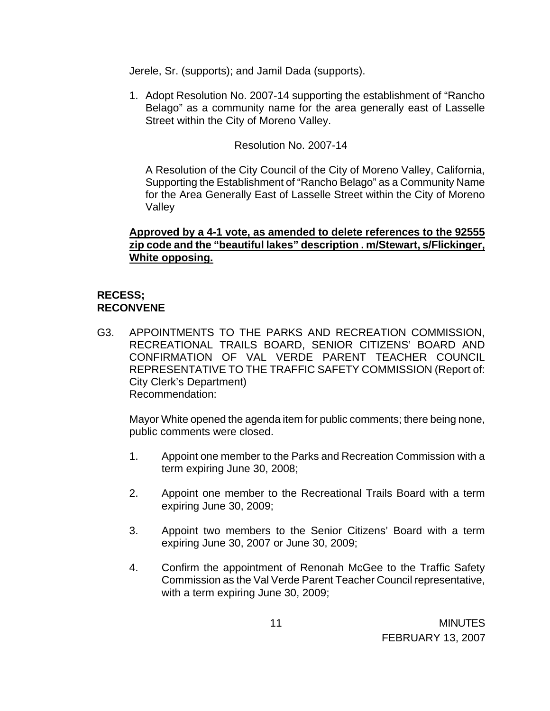Jerele, Sr. (supports); and Jamil Dada (supports).

1. Adopt Resolution No. 2007-14 supporting the establishment of "Rancho Belago" as a community name for the area generally east of Lasselle Street within the City of Moreno Valley.

Resolution No. 2007-14

A Resolution of the City Council of the City of Moreno Valley, California, Supporting the Establishment of "Rancho Belago" as a Community Name for the Area Generally East of Lasselle Street within the City of Moreno Valley

## **Approved by a 4-1 vote, as amended to delete references to the 92555 zip code and the "beautiful lakes" description . m/Stewart, s/Flickinger, White opposing.**

# **RECESS; RECONVENE**

G3. APPOINTMENTS TO THE PARKS AND RECREATION COMMISSION, RECREATIONAL TRAILS BOARD, SENIOR CITIZENS' BOARD AND CONFIRMATION OF VAL VERDE PARENT TEACHER COUNCIL REPRESENTATIVE TO THE TRAFFIC SAFETY COMMISSION (Report of: City Clerk's Department) Recommendation:

Mayor White opened the agenda item for public comments; there being none, public comments were closed.

- 1. Appoint one member to the Parks and Recreation Commission with a term expiring June 30, 2008;
- 2. Appoint one member to the Recreational Trails Board with a term expiring June 30, 2009;
- 3. Appoint two members to the Senior Citizens' Board with a term expiring June 30, 2007 or June 30, 2009;
- 4. Confirm the appointment of Renonah McGee to the Traffic Safety Commission as the Val Verde Parent Teacher Council representative, with a term expiring June 30, 2009;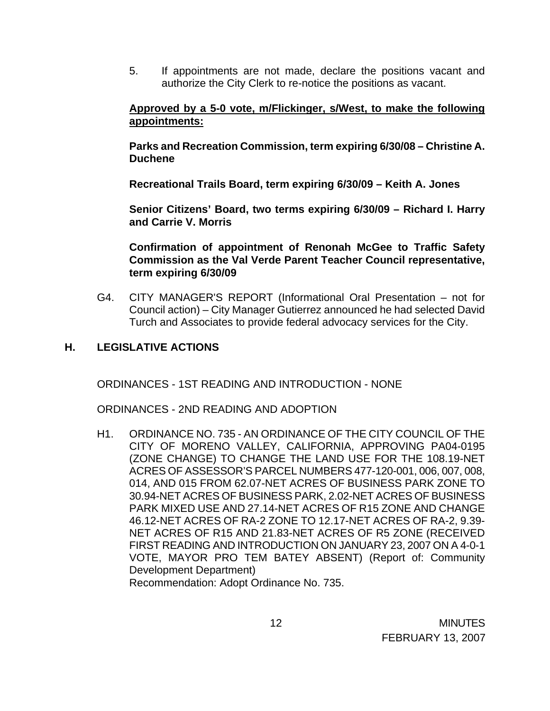5. If appointments are not made, declare the positions vacant and authorize the City Clerk to re-notice the positions as vacant.

#### **Approved by a 5-0 vote, m/Flickinger, s/West, to make the following appointments:**

**Parks and Recreation Commission, term expiring 6/30/08 – Christine A. Duchene** 

 **Recreational Trails Board, term expiring 6/30/09 – Keith A. Jones** 

 **Senior Citizens' Board, two terms expiring 6/30/09 – Richard I. Harry and Carrie V. Morris** 

 **Confirmation of appointment of Renonah McGee to Traffic Safety Commission as the Val Verde Parent Teacher Council representative, term expiring 6/30/09** 

G4. CITY MANAGER'S REPORT (Informational Oral Presentation – not for Council action) – City Manager Gutierrez announced he had selected David Turch and Associates to provide federal advocacy services for the City.

### **H. LEGISLATIVE ACTIONS**

ORDINANCES - 1ST READING AND INTRODUCTION - NONE

ORDINANCES - 2ND READING AND ADOPTION

H1. ORDINANCE NO. 735 - AN ORDINANCE OF THE CITY COUNCIL OF THE CITY OF MORENO VALLEY, CALIFORNIA, APPROVING PA04-0195 (ZONE CHANGE) TO CHANGE THE LAND USE FOR THE 108.19-NET ACRES OF ASSESSOR'S PARCEL NUMBERS 477-120-001, 006, 007, 008, 014, AND 015 FROM 62.07-NET ACRES OF BUSINESS PARK ZONE TO 30.94-NET ACRES OF BUSINESS PARK, 2.02-NET ACRES OF BUSINESS PARK MIXED USE AND 27.14-NET ACRES OF R15 ZONE AND CHANGE 46.12-NET ACRES OF RA-2 ZONE TO 12.17-NET ACRES OF RA-2, 9.39- NET ACRES OF R15 AND 21.83-NET ACRES OF R5 ZONE (RECEIVED FIRST READING AND INTRODUCTION ON JANUARY 23, 2007 ON A 4-0-1 VOTE, MAYOR PRO TEM BATEY ABSENT) (Report of: Community Development Department) Recommendation: Adopt Ordinance No. 735.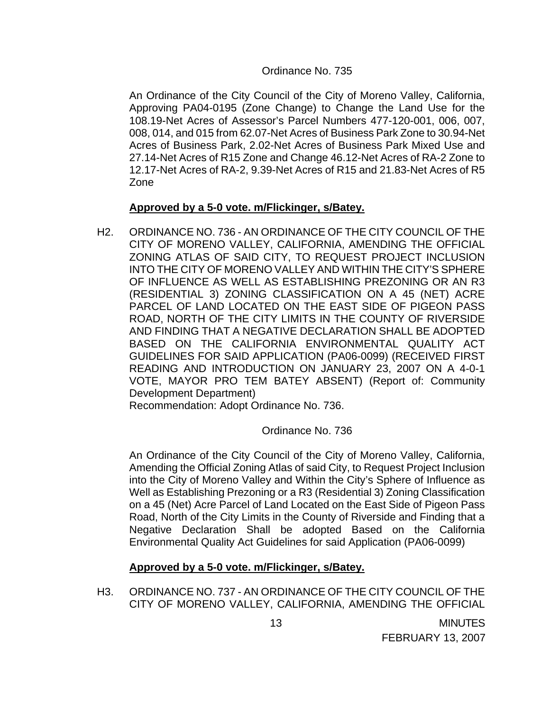#### Ordinance No. 735

An Ordinance of the City Council of the City of Moreno Valley, California, Approving PA04-0195 (Zone Change) to Change the Land Use for the 108.19-Net Acres of Assessor's Parcel Numbers 477-120-001, 006, 007, 008, 014, and 015 from 62.07-Net Acres of Business Park Zone to 30.94-Net Acres of Business Park, 2.02-Net Acres of Business Park Mixed Use and 27.14-Net Acres of R15 Zone and Change 46.12-Net Acres of RA-2 Zone to 12.17-Net Acres of RA-2, 9.39-Net Acres of R15 and 21.83-Net Acres of R5 Zone

#### **Approved by a 5-0 vote. m/Flickinger, s/Batey.**

H2. ORDINANCE NO. 736 - AN ORDINANCE OF THE CITY COUNCIL OF THE CITY OF MORENO VALLEY, CALIFORNIA, AMENDING THE OFFICIAL ZONING ATLAS OF SAID CITY, TO REQUEST PROJECT INCLUSION INTO THE CITY OF MORENO VALLEY AND WITHIN THE CITY'S SPHERE OF INFLUENCE AS WELL AS ESTABLISHING PREZONING OR AN R3 (RESIDENTIAL 3) ZONING CLASSIFICATION ON A 45 (NET) ACRE PARCEL OF LAND LOCATED ON THE EAST SIDE OF PIGEON PASS ROAD, NORTH OF THE CITY LIMITS IN THE COUNTY OF RIVERSIDE AND FINDING THAT A NEGATIVE DECLARATION SHALL BE ADOPTED BASED ON THE CALIFORNIA ENVIRONMENTAL QUALITY ACT GUIDELINES FOR SAID APPLICATION (PA06-0099) (RECEIVED FIRST READING AND INTRODUCTION ON JANUARY 23, 2007 ON A 4-0-1 VOTE, MAYOR PRO TEM BATEY ABSENT) (Report of: Community Development Department)

Recommendation: Adopt Ordinance No. 736.

### Ordinance No. 736

An Ordinance of the City Council of the City of Moreno Valley, California, Amending the Official Zoning Atlas of said City, to Request Project Inclusion into the City of Moreno Valley and Within the City's Sphere of Influence as Well as Establishing Prezoning or a R3 (Residential 3) Zoning Classification on a 45 (Net) Acre Parcel of Land Located on the East Side of Pigeon Pass Road, North of the City Limits in the County of Riverside and Finding that a Negative Declaration Shall be adopted Based on the California Environmental Quality Act Guidelines for said Application (PA06-0099)

### **Approved by a 5-0 vote. m/Flickinger, s/Batey.**

H3. ORDINANCE NO. 737 - AN ORDINANCE OF THE CITY COUNCIL OF THE CITY OF MORENO VALLEY, CALIFORNIA, AMENDING THE OFFICIAL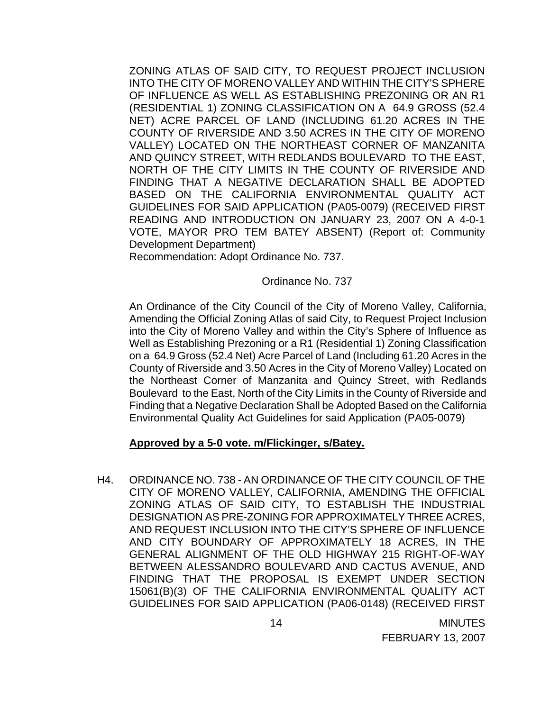ZONING ATLAS OF SAID CITY, TO REQUEST PROJECT INCLUSION INTO THE CITY OF MORENO VALLEY AND WITHIN THE CITY'S SPHERE OF INFLUENCE AS WELL AS ESTABLISHING PREZONING OR AN R1 (RESIDENTIAL 1) ZONING CLASSIFICATION ON A 64.9 GROSS (52.4 NET) ACRE PARCEL OF LAND (INCLUDING 61.20 ACRES IN THE COUNTY OF RIVERSIDE AND 3.50 ACRES IN THE CITY OF MORENO VALLEY) LOCATED ON THE NORTHEAST CORNER OF MANZANITA AND QUINCY STREET, WITH REDLANDS BOULEVARD TO THE EAST, NORTH OF THE CITY LIMITS IN THE COUNTY OF RIVERSIDE AND FINDING THAT A NEGATIVE DECLARATION SHALL BE ADOPTED BASED ON THE CALIFORNIA ENVIRONMENTAL QUALITY ACT GUIDELINES FOR SAID APPLICATION (PA05-0079) (RECEIVED FIRST READING AND INTRODUCTION ON JANUARY 23, 2007 ON A 4-0-1 VOTE, MAYOR PRO TEM BATEY ABSENT) (Report of: Community Development Department)

Recommendation: Adopt Ordinance No. 737.

Ordinance No. 737

An Ordinance of the City Council of the City of Moreno Valley, California, Amending the Official Zoning Atlas of said City, to Request Project Inclusion into the City of Moreno Valley and within the City's Sphere of Influence as Well as Establishing Prezoning or a R1 (Residential 1) Zoning Classification on a 64.9 Gross (52.4 Net) Acre Parcel of Land (Including 61.20 Acres in the County of Riverside and 3.50 Acres in the City of Moreno Valley) Located on the Northeast Corner of Manzanita and Quincy Street, with Redlands Boulevard to the East, North of the City Limits in the County of Riverside and Finding that a Negative Declaration Shall be Adopted Based on the California Environmental Quality Act Guidelines for said Application (PA05-0079)

### **Approved by a 5-0 vote. m/Flickinger, s/Batey.**

H4. ORDINANCE NO. 738 - AN ORDINANCE OF THE CITY COUNCIL OF THE CITY OF MORENO VALLEY, CALIFORNIA, AMENDING THE OFFICIAL ZONING ATLAS OF SAID CITY, TO ESTABLISH THE INDUSTRIAL DESIGNATION AS PRE-ZONING FOR APPROXIMATELY THREE ACRES, AND REQUEST INCLUSION INTO THE CITY'S SPHERE OF INFLUENCE AND CITY BOUNDARY OF APPROXIMATELY 18 ACRES, IN THE GENERAL ALIGNMENT OF THE OLD HIGHWAY 215 RIGHT-OF-WAY BETWEEN ALESSANDRO BOULEVARD AND CACTUS AVENUE, AND FINDING THAT THE PROPOSAL IS EXEMPT UNDER SECTION 15061(B)(3) OF THE CALIFORNIA ENVIRONMENTAL QUALITY ACT GUIDELINES FOR SAID APPLICATION (PA06-0148) (RECEIVED FIRST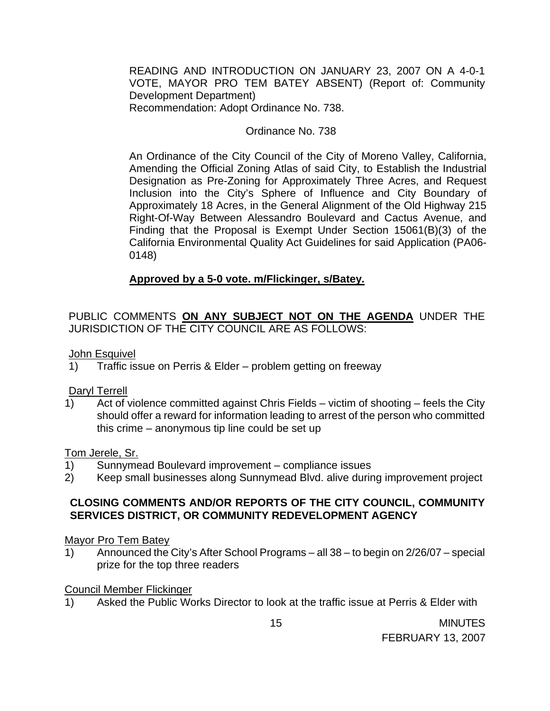READING AND INTRODUCTION ON JANUARY 23, 2007 ON A 4-0-1 VOTE, MAYOR PRO TEM BATEY ABSENT) (Report of: Community Development Department) Recommendation: Adopt Ordinance No. 738.

## Ordinance No. 738

An Ordinance of the City Council of the City of Moreno Valley, California, Amending the Official Zoning Atlas of said City, to Establish the Industrial Designation as Pre-Zoning for Approximately Three Acres, and Request Inclusion into the City's Sphere of Influence and City Boundary of Approximately 18 Acres, in the General Alignment of the Old Highway 215 Right-Of-Way Between Alessandro Boulevard and Cactus Avenue, and Finding that the Proposal is Exempt Under Section 15061(B)(3) of the California Environmental Quality Act Guidelines for said Application (PA06- 0148)

## **Approved by a 5-0 vote. m/Flickinger, s/Batey.**

PUBLIC COMMENTS **ON ANY SUBJECT NOT ON THE AGENDA** UNDER THE JURISDICTION OF THE CITY COUNCIL ARE AS FOLLOWS:

John Esquivel

1) Traffic issue on Perris & Elder – problem getting on freeway

Daryl Terrell

1) Act of violence committed against Chris Fields – victim of shooting – feels the City should offer a reward for information leading to arrest of the person who committed this crime – anonymous tip line could be set up

Tom Jerele, Sr.

- 1) Sunnymead Boulevard improvement compliance issues
- 2) Keep small businesses along Sunnymead Blvd. alive during improvement project

## **CLOSING COMMENTS AND/OR REPORTS OF THE CITY COUNCIL, COMMUNITY SERVICES DISTRICT, OR COMMUNITY REDEVELOPMENT AGENCY**

### Mayor Pro Tem Batey

1) Announced the City's After School Programs – all 38 – to begin on 2/26/07 – special prize for the top three readers

## Council Member Flickinger

1) Asked the Public Works Director to look at the traffic issue at Perris & Elder with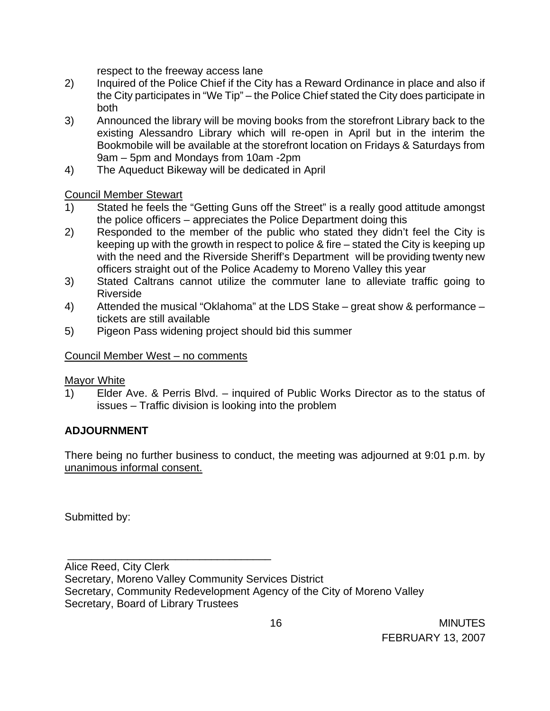respect to the freeway access lane

- 2) Inquired of the Police Chief if the City has a Reward Ordinance in place and also if the City participates in "We Tip" – the Police Chief stated the City does participate in both
- 3) Announced the library will be moving books from the storefront Library back to the existing Alessandro Library which will re-open in April but in the interim the Bookmobile will be available at the storefront location on Fridays & Saturdays from 9am – 5pm and Mondays from 10am -2pm
- 4) The Aqueduct Bikeway will be dedicated in April

Council Member Stewart

- 1) Stated he feels the "Getting Guns off the Street" is a really good attitude amongst the police officers – appreciates the Police Department doing this
- 2) Responded to the member of the public who stated they didn't feel the City is keeping up with the growth in respect to police & fire – stated the City is keeping up with the need and the Riverside Sheriff's Department will be providing twenty new officers straight out of the Police Academy to Moreno Valley this year
- 3) Stated Caltrans cannot utilize the commuter lane to alleviate traffic going to Riverside
- 4) Attended the musical "Oklahoma" at the LDS Stake great show & performance tickets are still available
- 5) Pigeon Pass widening project should bid this summer

## Council Member West – no comments

\_\_\_\_\_\_\_\_\_\_\_\_\_\_\_\_\_\_\_\_\_\_\_\_\_\_\_\_\_\_\_\_\_\_

Mayor White

1) Elder Ave. & Perris Blvd. – inquired of Public Works Director as to the status of issues – Traffic division is looking into the problem

# **ADJOURNMENT**

There being no further business to conduct, the meeting was adjourned at 9:01 p.m. by unanimous informal consent.

Submitted by:

Alice Reed, City Clerk Secretary, Moreno Valley Community Services District Secretary, Community Redevelopment Agency of the City of Moreno Valley Secretary, Board of Library Trustees